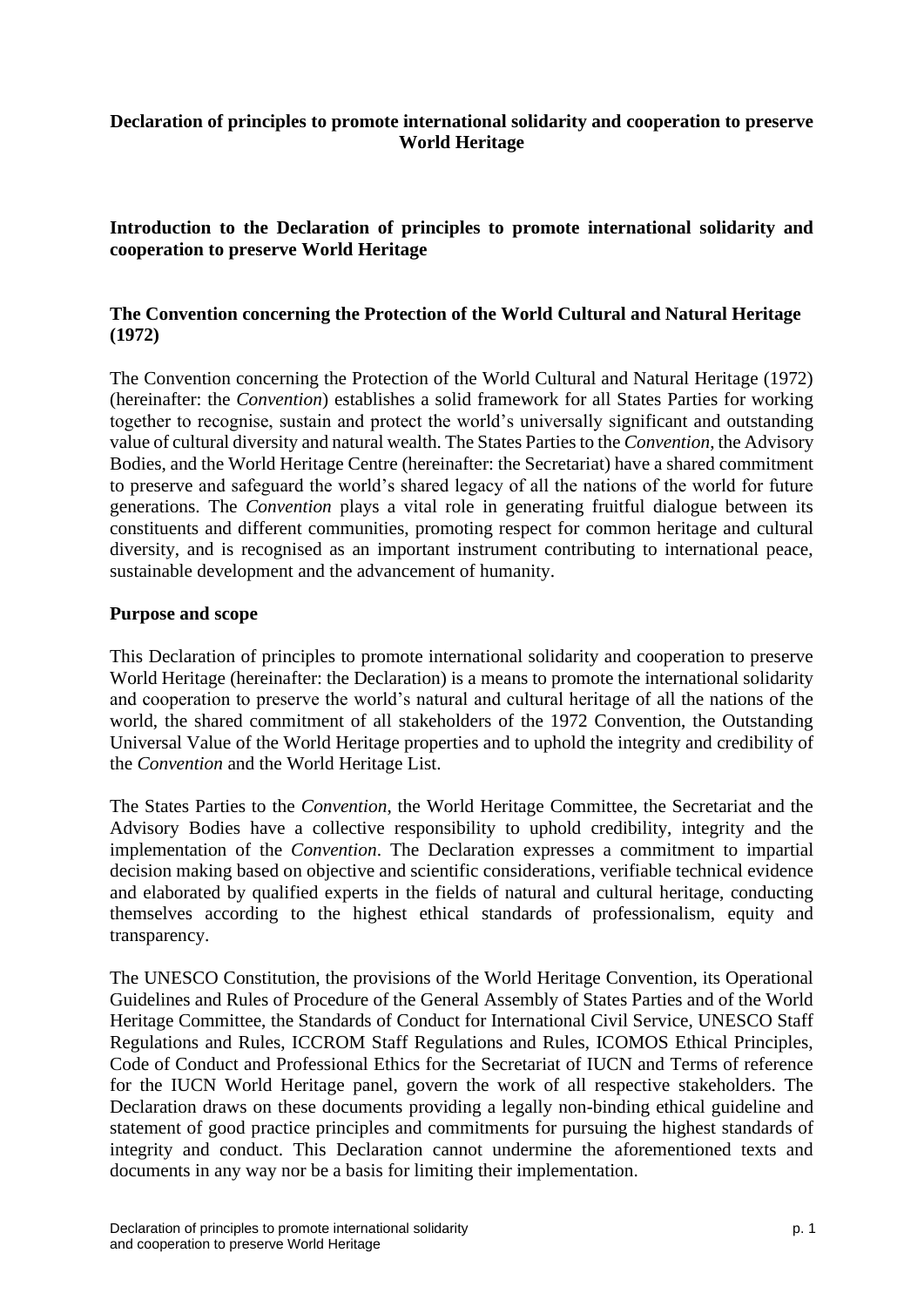# **Declaration of principles to promote international solidarity and cooperation to preserve World Heritage**

**Introduction to the Declaration of principles to promote international solidarity and cooperation to preserve World Heritage**

## **The Convention concerning the Protection of the World Cultural and Natural Heritage (1972)**

The Convention concerning the Protection of the World Cultural and Natural Heritage (1972) (hereinafter: the *Convention*) establishes a solid framework for all States Parties for working together to recognise, sustain and protect the world's universally significant and outstanding value of cultural diversity and natural wealth. The States Parties to the *Convention*, the Advisory Bodies, and the World Heritage Centre (hereinafter: the Secretariat) have a shared commitment to preserve and safeguard the world's shared legacy of all the nations of the world for future generations. The *Convention* plays a vital role in generating fruitful dialogue between its constituents and different communities, promoting respect for common heritage and cultural diversity, and is recognised as an important instrument contributing to international peace, sustainable development and the advancement of humanity.

### **Purpose and scope**

This Declaration of principles to promote international solidarity and cooperation to preserve World Heritage (hereinafter: the Declaration) is a means to promote the international solidarity and cooperation to preserve the world's natural and cultural heritage of all the nations of the world, the shared commitment of all stakeholders of the 1972 Convention, the Outstanding Universal Value of the World Heritage properties and to uphold the integrity and credibility of the *Convention* and the World Heritage List.

The States Parties to the *Convention*, the World Heritage Committee, the Secretariat and the Advisory Bodies have a collective responsibility to uphold credibility, integrity and the implementation of the *Convention*. The Declaration expresses a commitment to impartial decision making based on objective and scientific considerations, verifiable technical evidence and elaborated by qualified experts in the fields of natural and cultural heritage, conducting themselves according to the highest ethical standards of professionalism, equity and transparency.

The UNESCO Constitution, the provisions of the World Heritage Convention, its Operational Guidelines and Rules of Procedure of the General Assembly of States Parties and of the World Heritage Committee, the Standards of Conduct for International Civil Service, UNESCO Staff Regulations and Rules, ICCROM Staff Regulations and Rules, ICOMOS Ethical Principles, Code of Conduct and Professional Ethics for the Secretariat of IUCN and Terms of reference for the IUCN World Heritage panel, govern the work of all respective stakeholders. The Declaration draws on these documents providing a legally non-binding ethical guideline and statement of good practice principles and commitments for pursuing the highest standards of integrity and conduct. This Declaration cannot undermine the aforementioned texts and documents in any way nor be a basis for limiting their implementation.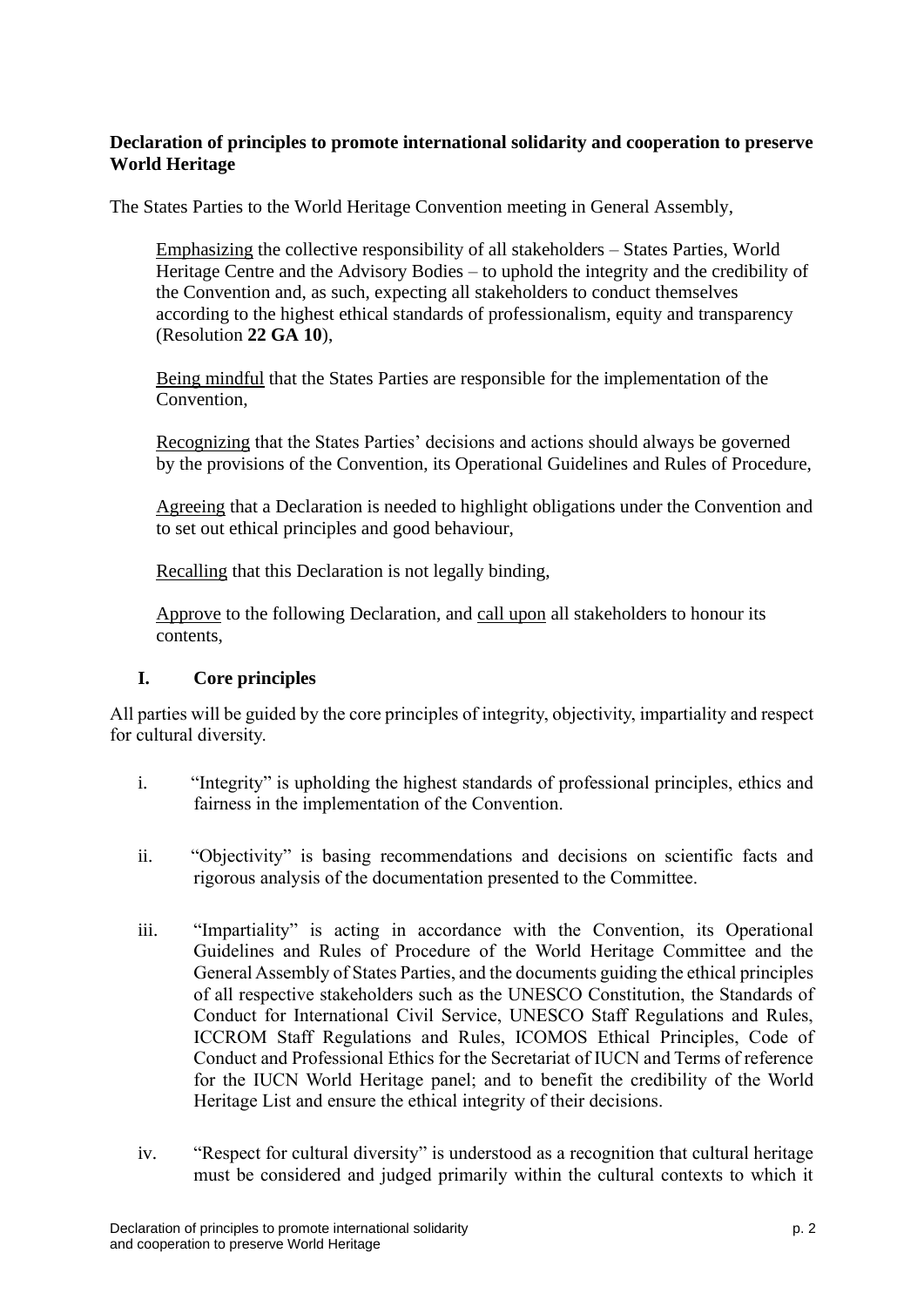# **Declaration of principles to promote international solidarity and cooperation to preserve World Heritage**

The States Parties to the World Heritage Convention meeting in General Assembly,

Emphasizing the collective responsibility of all stakeholders – States Parties, World Heritage Centre and the Advisory Bodies – to uphold the integrity and the credibility of the Convention and, as such, expecting all stakeholders to conduct themselves according to the highest ethical standards of professionalism, equity and transparency (Resolution **22 GA 10**),

Being mindful that the States Parties are responsible for the implementation of the Convention,

Recognizing that the States Parties' decisions and actions should always be governed by the provisions of the Convention, its Operational Guidelines and Rules of Procedure,

Agreeing that a Declaration is needed to highlight obligations under the Convention and to set out ethical principles and good behaviour,

Recalling that this Declaration is not legally binding,

Approve to the following Declaration, and call upon all stakeholders to honour its contents,

#### **I. Core principles**

All parties will be guided by the core principles of integrity, objectivity, impartiality and respect for cultural diversity.

- i. "Integrity" is upholding the highest standards of professional principles, ethics and fairness in the implementation of the Convention.
- ii. "Objectivity" is basing recommendations and decisions on scientific facts and rigorous analysis of the documentation presented to the Committee.
- iii. "Impartiality" is acting in accordance with the Convention, its Operational Guidelines and Rules of Procedure of the World Heritage Committee and the General Assembly of States Parties, and the documents guiding the ethical principles of all respective stakeholders such as the UNESCO Constitution, the Standards of Conduct for International Civil Service, UNESCO Staff Regulations and Rules, ICCROM Staff Regulations and Rules, ICOMOS Ethical Principles, Code of Conduct and Professional Ethics for the Secretariat of IUCN and Terms of reference for the IUCN World Heritage panel; and to benefit the credibility of the World Heritage List and ensure the ethical integrity of their decisions.
- iv. "Respect for cultural diversity" is understood as a recognition that cultural heritage must be considered and judged primarily within the cultural contexts to which it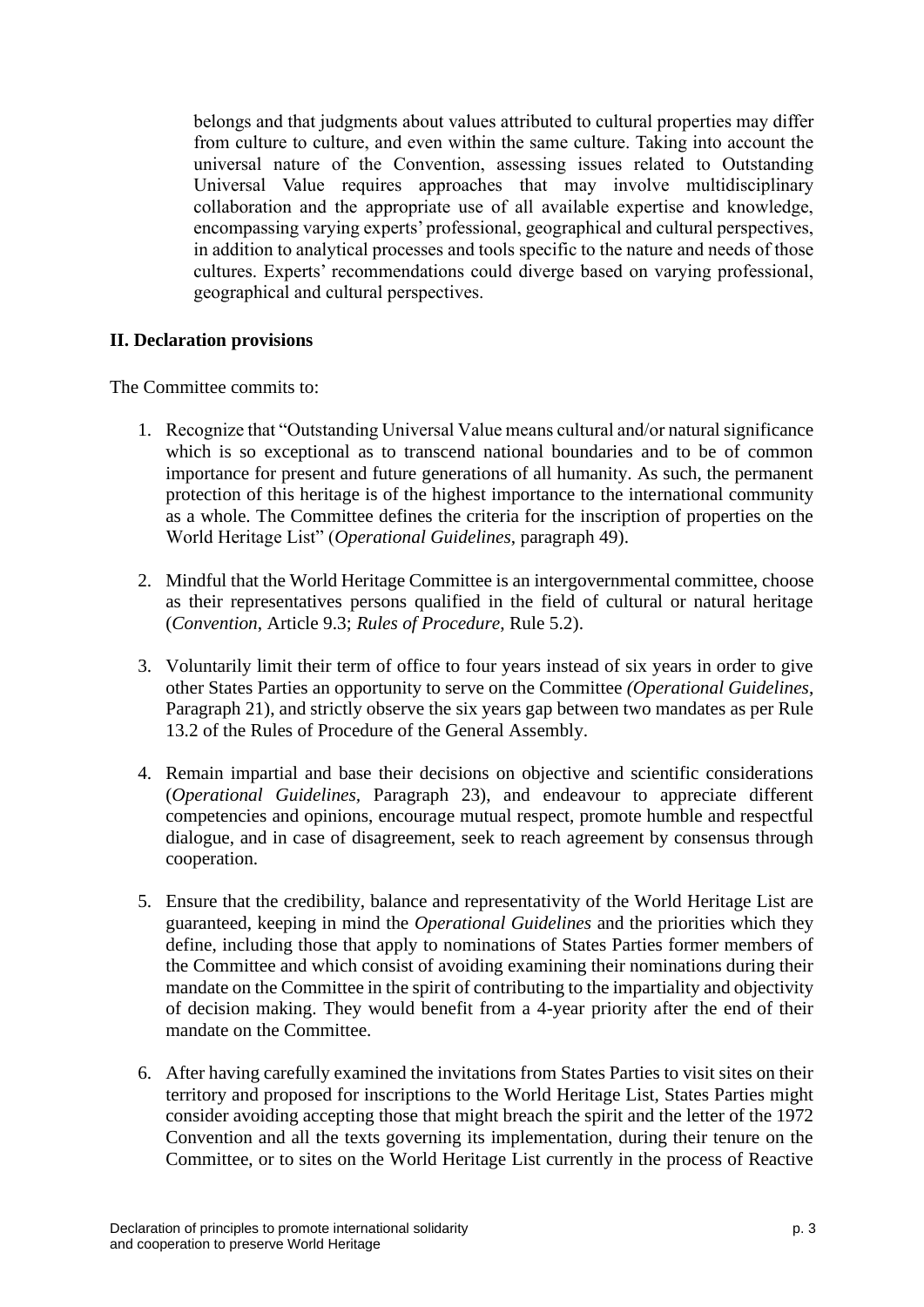belongs and that judgments about values attributed to cultural properties may differ from culture to culture, and even within the same culture. Taking into account the universal nature of the Convention, assessing issues related to Outstanding Universal Value requires approaches that may involve multidisciplinary collaboration and the appropriate use of all available expertise and knowledge, encompassing varying experts' professional, geographical and cultural perspectives, in addition to analytical processes and tools specific to the nature and needs of those cultures. Experts' recommendations could diverge based on varying professional, geographical and cultural perspectives.

### **II. Declaration provisions**

The Committee commits to:

- 1. Recognize that "Outstanding Universal Value means cultural and/or natural significance which is so exceptional as to transcend national boundaries and to be of common importance for present and future generations of all humanity. As such, the permanent protection of this heritage is of the highest importance to the international community as a whole. The Committee defines the criteria for the inscription of properties on the World Heritage List" (*Operational Guidelines*, paragraph 49).
- 2. Mindful that the World Heritage Committee is an intergovernmental committee, choose as their representatives persons qualified in the field of cultural or natural heritage (*Convention*, Article 9.3; *Rules of Procedure*, Rule 5.2).
- 3. Voluntarily limit their term of office to four years instead of six years in order to give other States Parties an opportunity to serve on the Committee *(Operational Guidelines*, Paragraph 21), and strictly observe the six years gap between two mandates as per Rule 13.2 of the Rules of Procedure of the General Assembly.
- 4. Remain impartial and base their decisions on objective and scientific considerations (*Operational Guidelines,* Paragraph 23), and endeavour to appreciate different competencies and opinions, encourage mutual respect, promote humble and respectful dialogue, and in case of disagreement, seek to reach agreement by consensus through cooperation.
- 5. Ensure that the credibility, balance and representativity of the World Heritage List are guaranteed, keeping in mind the *Operational Guidelines* and the priorities which they define, including those that apply to nominations of States Parties former members of the Committee and which consist of avoiding examining their nominations during their mandate on the Committee in the spirit of contributing to the impartiality and objectivity of decision making. They would benefit from a 4-year priority after the end of their mandate on the Committee.
- 6. After having carefully examined the invitations from States Parties to visit sites on their territory and proposed for inscriptions to the World Heritage List, States Parties might consider avoiding accepting those that might breach the spirit and the letter of the 1972 Convention and all the texts governing its implementation, during their tenure on the Committee, or to sites on the World Heritage List currently in the process of Reactive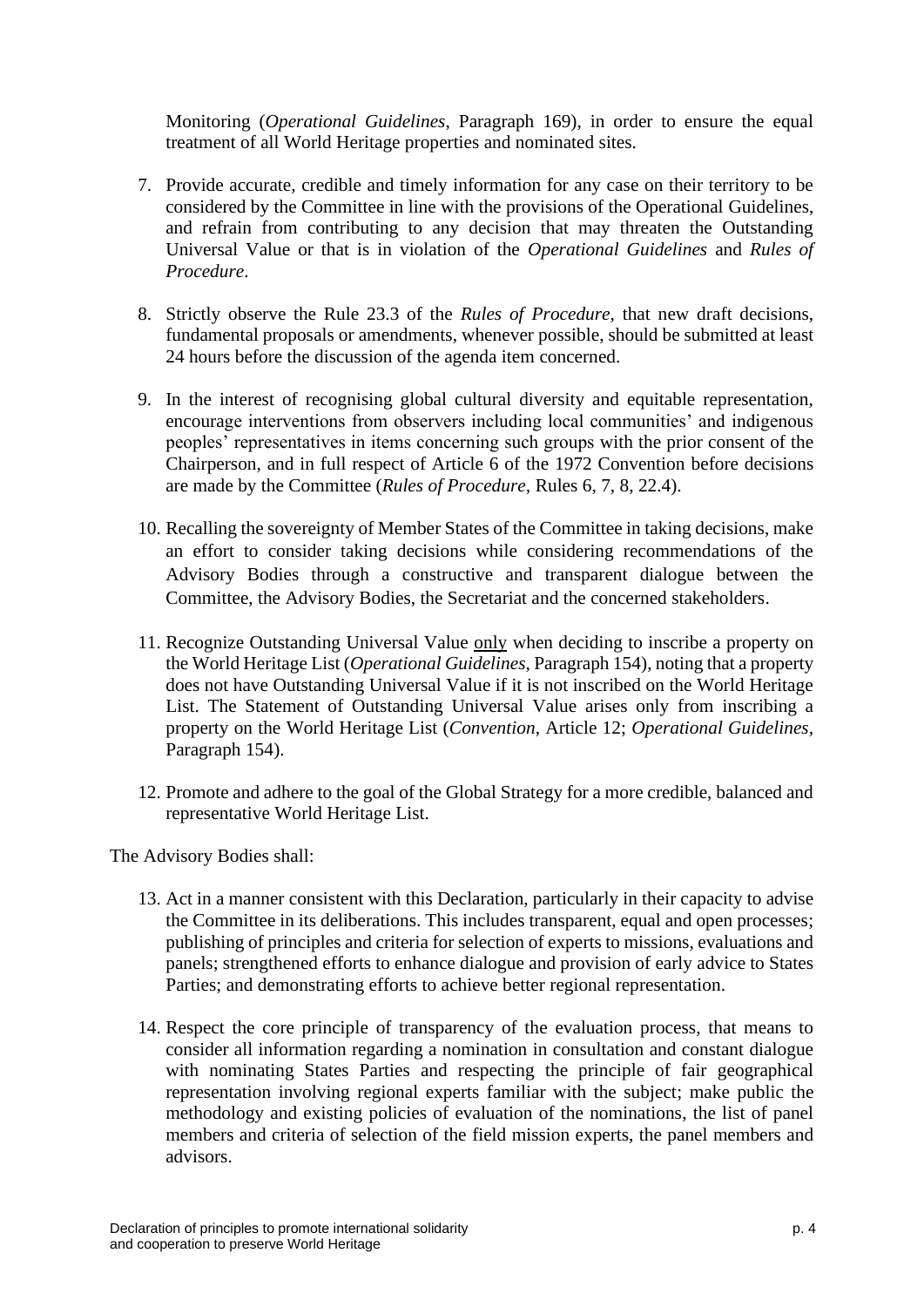Monitoring (*Operational Guidelines*, Paragraph 169), in order to ensure the equal treatment of all World Heritage properties and nominated sites.

- 7. Provide accurate, credible and timely information for any case on their territory to be considered by the Committee in line with the provisions of the Operational Guidelines, and refrain from contributing to any decision that may threaten the Outstanding Universal Value or that is in violation of the *Operational Guidelines* and *Rules of Procedure*.
- 8. Strictly observe the Rule 23.3 of the *Rules of Procedure*, that new draft decisions, fundamental proposals or amendments, whenever possible, should be submitted at least 24 hours before the discussion of the agenda item concerned.
- 9. In the interest of recognising global cultural diversity and equitable representation, encourage interventions from observers including local communities' and indigenous peoples' representatives in items concerning such groups with the prior consent of the Chairperson, and in full respect of Article 6 of the 1972 Convention before decisions are made by the Committee (*Rules of Procedure,* Rules 6, 7, 8, 22.4).
- 10. Recalling the sovereignty of Member States of the Committee in taking decisions, make an effort to consider taking decisions while considering recommendations of the Advisory Bodies through a constructive and transparent dialogue between the Committee, the Advisory Bodies, the Secretariat and the concerned stakeholders.
- 11. Recognize Outstanding Universal Value only when deciding to inscribe a property on the World Heritage List (*Operational Guidelines*, Paragraph 154), noting that a property does not have Outstanding Universal Value if it is not inscribed on the World Heritage List. The Statement of Outstanding Universal Value arises only from inscribing a property on the World Heritage List (*Convention*, Article 12; *Operational Guidelines,*  Paragraph 154).
- 12. Promote and adhere to the goal of the Global Strategy for a more credible, balanced and representative World Heritage List.

The Advisory Bodies shall:

- 13. Act in a manner consistent with this Declaration, particularly in their capacity to advise the Committee in its deliberations. This includes transparent, equal and open processes; publishing of principles and criteria for selection of experts to missions, evaluations and panels; strengthened efforts to enhance dialogue and provision of early advice to States Parties; and demonstrating efforts to achieve better regional representation.
- 14. Respect the core principle of transparency of the evaluation process, that means to consider all information regarding a nomination in consultation and constant dialogue with nominating States Parties and respecting the principle of fair geographical representation involving regional experts familiar with the subject; make public the methodology and existing policies of evaluation of the nominations, the list of panel members and criteria of selection of the field mission experts, the panel members and advisors.